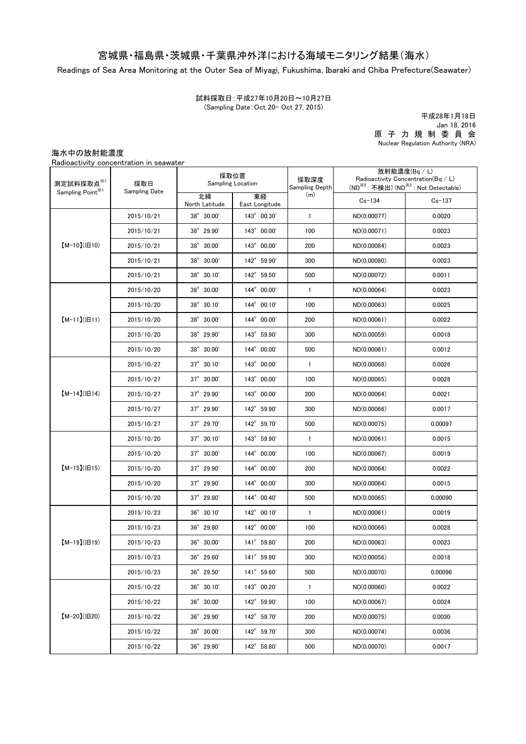## 宮城県・福島県・茨城県・千葉県沖外洋における海域モニタリング結果(海水)

Readings of Sea Area Monitoring at the Outer Sea of Miyagi, Fukushima, Ibaraki and Chiba Prefecture(Seawater)

(Sampling Date:Oct 20- Oct 27, 2015) 試料採取日:平成27年10月20日~10月27日

原 子 力 規 制 委 員 会 Nuclear Regulation Authority (NRA) 平成28年1月18日 Jan 18, 2016

海水中の放射能濃度

Radioactivity concentration in seawater

| 測定試料採取点※1<br>Sampling Point <sup>※1</sup> | 採取日<br>Sampling Date | 採取位置<br>Sampling Location |                      | 採取深度<br>Sampling Depth | 放射能濃度(Bq / L)<br>Radioactivity Concentration( $Bq / L$ )<br>(ND <sup>※2</sup> : 不検出) (ND <sup>※2</sup> : Not Detectable) |            |
|-------------------------------------------|----------------------|---------------------------|----------------------|------------------------|--------------------------------------------------------------------------------------------------------------------------|------------|
|                                           |                      | 北緯<br>North Latitude      | 東経<br>East Longitude | (m)                    | $Cs - 134$                                                                                                               | $Cs - 137$ |
| $[M-10](H10)$                             | 2015/10/21           | 38° 30.00'                | 143° 00.30'          | $\mathbf{1}$           | ND(0.00077)                                                                                                              | 0.0020     |
|                                           | 2015/10/21           | 38° 29.90'                | 143° 00.00'          | 100                    | ND(0.00071)                                                                                                              | 0.0023     |
|                                           | 2015/10/21           | 38° 30.00'                | 143° 00.00'          | 200                    | ND(0.00084)                                                                                                              | 0.0023     |
|                                           | 2015/10/21           | 38° 30.00'                | 142° 59.90'          | 300                    | ND(0.00080)                                                                                                              | 0.0023     |
|                                           | 2015/10/21           | $38^{\circ}$ 30.10        | 142° 59.50'          | 500                    | ND(0.00072)                                                                                                              | 0.0011     |
| $[M-11](H11)$                             | 2015/10/20           | 38° 30.00'                | 144° 00.00'          | $\mathbf{1}$           | ND(0.00064)                                                                                                              | 0.0023     |
|                                           | 2015/10/20           | 38° 30.10'                | 144° 00.10'          | 100                    | ND(0.00063)                                                                                                              | 0.0025     |
|                                           | 2015/10/20           | 38° 30.00'                | 144° 00.00'          | 200                    | ND(0.00061)                                                                                                              | 0.0022     |
|                                           | 2015/10/20           | 38° 29.90'                | 143° 59.90'          | 300                    | ND(0.00059)                                                                                                              | 0.0018     |
|                                           | 2015/10/20           | 38° 30.00'                | 144° 00.00'          | 500                    | ND(0.00061)                                                                                                              | 0.0012     |
|                                           | 2015/10/27           | $37^{\circ}$ 30.10'       | 143° 00.00'          | 1                      | ND(0.00068)                                                                                                              | 0.0026     |
| $[M-14]( H14)$                            | 2015/10/27           | 37° 30.00'                | 143° 00.00'          | 100                    | ND(0.00065)                                                                                                              | 0.0028     |
|                                           | 2015/10/27           | $37^{\circ}$ 29.90'       | 143° 00.00'          | 200                    | ND(0.00064)                                                                                                              | 0.0021     |
|                                           | 2015/10/27           | $37^{\circ}$ 29.90'       | 142° 59.90'          | 300                    | ND(0.00066)                                                                                                              | 0.0017     |
|                                           | 2015/10/27           | 37° 29.70'                | 142° 59.70'          | 500                    | ND(0.00075)                                                                                                              | 0.00097    |
|                                           | 2015/10/20           | $37^{\circ}$ 30.10'       | 143° 59.90'          | 1                      | ND(0.00061)                                                                                                              | 0.0015     |
|                                           | 2015/10/20           | 37° 30.00'                | 144° 00.00'          | 100                    | ND(0.00067)                                                                                                              | 0.0019     |
| $[M-15](H15)$                             | 2015/10/20           | $37^{\circ}$ 29.90'       | 144° 00.00'          | 200                    | ND(0.00064)                                                                                                              | 0.0022     |
|                                           | 2015/10/20           | $37^{\circ}$ 29.90'       | 144° 00.00'          | 300                    | ND(0.00064)                                                                                                              | 0.0015     |
|                                           | 2015/10/20           | 37° 29.80'                | 144° 00.40'          | 500                    | ND(0.00065)                                                                                                              | 0.00090    |
| $[M-19](H19)$                             | 2015/10/23           | $36^{\circ}$ 30.10'       | 142° 00.10'          | $\mathbf{1}$           | ND(0.00061)                                                                                                              | 0.0019     |
|                                           | 2015/10/23           | 36° 29.80'                | 142° 00.00'          | 100                    | ND(0.00066)                                                                                                              | 0.0028     |
|                                           | 2015/10/23           | 36° 30.00'                | 141° 59.80'          | 200                    | ND(0.00063)                                                                                                              | 0.0023     |
|                                           | 2015/10/23           | 36° 29.60'                | 141° 59.80'          | 300                    | ND(0.00056)                                                                                                              | 0.0018     |
|                                           | 2015/10/23           | 36° 29.50'                | 141° 59.60'          | 500                    | ND(0.00070)                                                                                                              | 0.00096    |
| $[M-20](H20)$                             | 2015/10/22           | $36^{\circ}$ 30.10'       | 143° 00.20'          | $\mathbf{1}$           | ND(0.00060)                                                                                                              | 0.0022     |
|                                           | 2015/10/22           | 36° 30.00'                | 142° 59.90'          | 100                    | ND(0.00067)                                                                                                              | 0.0024     |
|                                           | 2015/10/22           | 36° 29.90'                | 142° 59.70'          | 200                    | ND(0.00075)                                                                                                              | 0.0030     |
|                                           | 2015/10/22           | 36° 30.00'                | 142° 59.70'          | 300                    | ND(0.00074)                                                                                                              | 0.0036     |
|                                           | 2015/10/22           | 36° 29.90'                | 142° 58.80'          | 500                    | ND(0.00070)                                                                                                              | 0.0017     |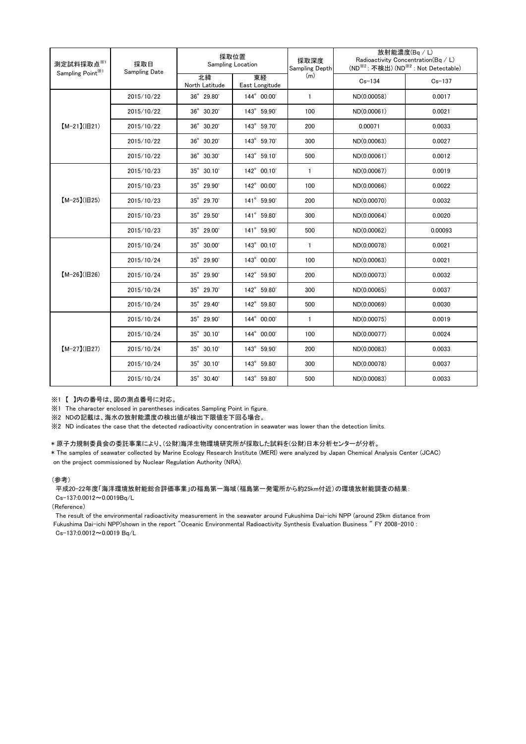| 測定試料採取点※1<br>Sampling Point <sup>※1</sup> | 採取日<br><b>Sampling Date</b> | 採取位置<br>Sampling Location |                      | 採取深度<br>Sampling Depth | 放射能濃度(Bq/L)<br>Radioactivity Concentration(Bq / L)<br>(ND <sup>※2</sup> : 不検出) (ND <sup>※2</sup> : Not Detectable) |            |
|-------------------------------------------|-----------------------------|---------------------------|----------------------|------------------------|--------------------------------------------------------------------------------------------------------------------|------------|
|                                           |                             | 北緯<br>North Latitude      | 東経<br>East Longitude | (m)                    | $Cs - 134$                                                                                                         | $Cs - 137$ |
| $[M-21](H21)$                             | 2015/10/22                  | 36° 29.80'                | 144° 00.00'          | $\mathbf{1}$           | ND(0.00058)                                                                                                        | 0.0017     |
|                                           | 2015/10/22                  | 36° 30.20'                | 143° 59.90'          | 100                    | ND(0.00061)                                                                                                        | 0.0021     |
|                                           | 2015/10/22                  | 36° 30.20'                | 143° 59.70'          | 200                    | 0.00071                                                                                                            | 0.0033     |
|                                           | 2015/10/22                  | 36° 30.20'                | 143° 59.70'          | 300                    | ND(0.00063)                                                                                                        | 0.0027     |
|                                           | 2015/10/22                  | 36° 30.30'                | 143° 59.10'          | 500                    | ND(0.00061)                                                                                                        | 0.0012     |
| $[M-25]( E25)$                            | 2015/10/23                  | 35° 30.10'                | 142° 00.10'          | $\mathbf{1}$           | ND(0.00067)                                                                                                        | 0.0019     |
|                                           | 2015/10/23                  | 35° 29.90'                | 142° 00.00'          | 100                    | ND(0.00066)                                                                                                        | 0.0022     |
|                                           | 2015/10/23                  | 35° 29.70'                | 141° 59.90'          | 200                    | ND(0.00070)                                                                                                        | 0.0032     |
|                                           | 2015/10/23                  | 35° 29.50'                | 141° 59.80'          | 300                    | ND(0.00064)                                                                                                        | 0.0020     |
|                                           | 2015/10/23                  | 35° 29.00'                | 141° 59.90'          | 500                    | ND(0.00062)                                                                                                        | 0.00093    |
| $[M-26](H26)$                             | 2015/10/24                  | 35° 30.00'                | 143° 00.10'          | $\mathbf{1}$           | ND(0.00078)                                                                                                        | 0.0021     |
|                                           | 2015/10/24                  | 35° 29.90'                | 143° 00.00'          | 100                    | ND(0.00063)                                                                                                        | 0.0021     |
|                                           | 2015/10/24                  | 35° 29.90'                | 142° 59.90'          | 200                    | ND(0.00073)                                                                                                        | 0.0032     |
|                                           | 2015/10/24                  | 35° 29.70'                | 142° 59.80'          | 300                    | ND(0.00065)                                                                                                        | 0.0037     |
|                                           | 2015/10/24                  | $35^{\circ}$ 29.40'       | 142° 59.80'          | 500                    | ND(0.00069)                                                                                                        | 0.0030     |
| $[M-27](B27)$                             | 2015/10/24                  | 35° 29.90'                | 144° 00.00'          | $\mathbf{1}$           | ND(0.00075)                                                                                                        | 0.0019     |
|                                           | 2015/10/24                  | $35^{\circ}$ 30.10'       | 144° 00.00'          | 100                    | ND(0.00077)                                                                                                        | 0.0024     |
|                                           | 2015/10/24                  | 35° 30.10'                | 143° 59.90'          | 200                    | ND(0.00083)                                                                                                        | 0.0033     |
|                                           | 2015/10/24                  | 35° 30.10'                | 143° 59.80'          | 300                    | ND(0.00078)                                                                                                        | 0.0037     |
|                                           | 2015/10/24                  | 35° 30.40'                | 143° 59.80'          | 500                    | ND(0.00083)                                                                                                        | 0.0033     |

※1 【 】内の番号は、図の測点番号に対応。

※1 The character enclosed in parentheses indicates Sampling Point in figure.

...<br>※2 NDの記載は、海水の放射能濃度の検出値が検出下限値を下回る場合。

※2 ND indicates the case that the detected radioactivity concentration in seawater was lower than the detection limits.

## \* 原子力規制委員会の委託事業により、(公財)海洋生物環境研究所が採取した試料を(公財)日本分析センターが分析。

on the project commissioned by Nuclear Regulation Authority (NRA). \* The samples of seawater collected by Marine Ecology Research Institute (MERI) were analyzed by Japan Chemical Analysis Center (JCAC)

## (参考)

平成20-22年度「海洋環境放射能総合評価事業」の福島第一海域(福島第一発電所から約25km付近)の環境放射能調査の結果: Cs-137:0.0012~0.0019Bq/L

(Reference)

The result of the environmental radioactivity measurement in the seawater around Fukushima Dai-ichi NPP (around 25km distance from Fukushima Dai-ichi NPP)shown in the report "Oceanic Environmental Radioactivity Synthesis Evaluation Business " FY 2008-2010 : Cs-137:0.0012~0.0019 Bq/L